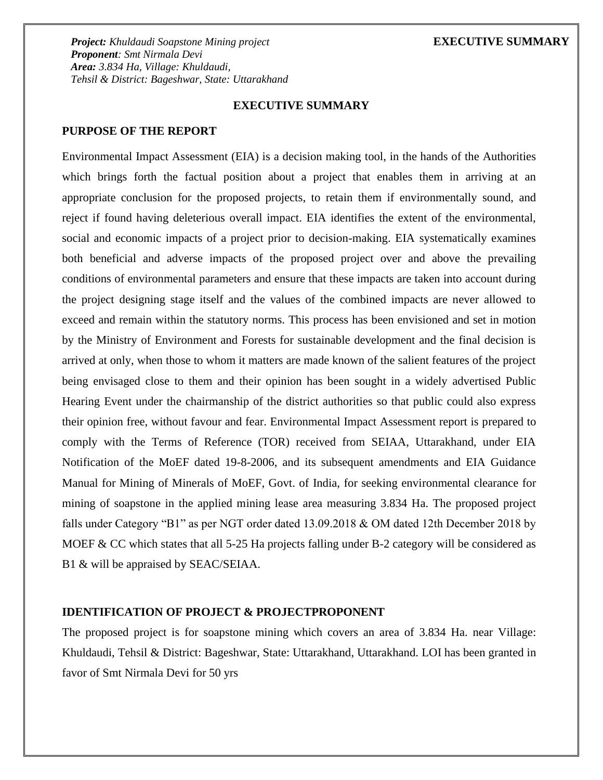### **EXECUTIVE SUMMARY**

## **PURPOSE OF THE REPORT**

Environmental Impact Assessment (EIA) is a decision making tool, in the hands of the Authorities which brings forth the factual position about a project that enables them in arriving at an appropriate conclusion for the proposed projects, to retain them if environmentally sound, and reject if found having deleterious overall impact. EIA identifies the extent of the environmental, social and economic impacts of a project prior to decision-making. EIA systematically examines both beneficial and adverse impacts of the proposed project over and above the prevailing conditions of environmental parameters and ensure that these impacts are taken into account during the project designing stage itself and the values of the combined impacts are never allowed to exceed and remain within the statutory norms. This process has been envisioned and set in motion by the Ministry of Environment and Forests for sustainable development and the final decision is arrived at only, when those to whom it matters are made known of the salient features of the project being envisaged close to them and their opinion has been sought in a widely advertised Public Hearing Event under the chairmanship of the district authorities so that public could also express their opinion free, without favour and fear. Environmental Impact Assessment report is prepared to comply with the Terms of Reference (TOR) received from SEIAA, Uttarakhand, under EIA Notification of the MoEF dated 19-8-2006, and its subsequent amendments and EIA Guidance Manual for Mining of Minerals of MoEF, Govt. of India, for seeking environmental clearance for mining of soapstone in the applied mining lease area measuring 3.834 Ha. The proposed project falls under Category "B1" as per NGT order dated 13.09.2018 & OM dated 12th December 2018 by MOEF & CC which states that all 5-25 Ha projects falling under B-2 category will be considered as B1 & will be appraised by SEAC/SEIAA.

## **IDENTIFICATION OF PROJECT & PROJECTPROPONENT**

The proposed project is for soapstone mining which covers an area of 3.834 Ha. near Village: Khuldaudi, Tehsil & District: Bageshwar, State: Uttarakhand, Uttarakhand. LOI has been granted in favor of Smt Nirmala Devi for 50 yrs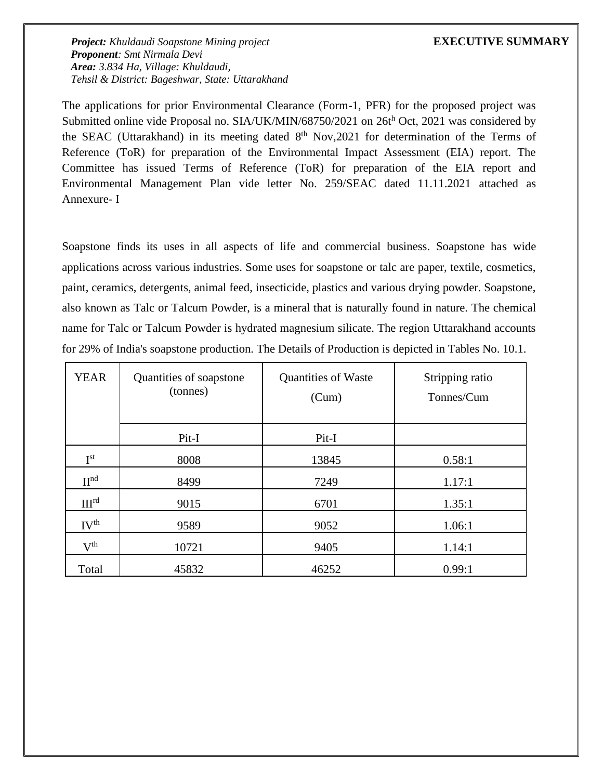The applications for prior Environmental Clearance (Form-1, PFR) for the proposed project was Submitted online vide Proposal no. SIA/UK/MIN/68750/2021 on 26th Oct, 2021 was considered by the SEAC (Uttarakhand) in its meeting dated 8<sup>th</sup> Nov,2021 for determination of the Terms of Reference (ToR) for preparation of the Environmental Impact Assessment (EIA) report. The Committee has issued Terms of Reference (ToR) for preparation of the EIA report and Environmental Management Plan vide letter No. 259/SEAC dated 11.11.2021 attached as Annexure- I

Soapstone finds its uses in all aspects of life and commercial business. Soapstone has wide applications across various industries. Some uses for soapstone or talc are paper, textile, cosmetics, paint, ceramics, detergents, animal feed, insecticide, plastics and various drying powder. Soapstone, also known as Talc or Talcum Powder, is a mineral that is naturally found in nature. The chemical name for Talc or Talcum Powder is hydrated magnesium silicate. The region Uttarakhand accounts for 29% of India's soapstone production. The Details of Production is depicted in Tables No. 10.1.

| <b>YEAR</b>                | Quantities of soapstone<br>(tonnes) | <b>Quantities of Waste</b><br>(Cum) | Stripping ratio<br>Tonnes/Cum |
|----------------------------|-------------------------------------|-------------------------------------|-------------------------------|
|                            | Pit-I                               | Pit-I                               |                               |
| $\mathrm{I}^{\mathrm{st}}$ | 8008                                | 13845                               | 0.58:1                        |
| $\Pi^{\text{nd}}$          | 8499                                | 7249                                | 1.17:1                        |
| III <sup>rd</sup>          | 9015                                | 6701                                | 1.35:1                        |
| IV <sup>th</sup>           | 9589                                | 9052                                | 1.06:1                        |
| $V^{th}$                   | 10721                               | 9405                                | 1.14:1                        |
| Total                      | 45832                               | 46252                               | 0.99:1                        |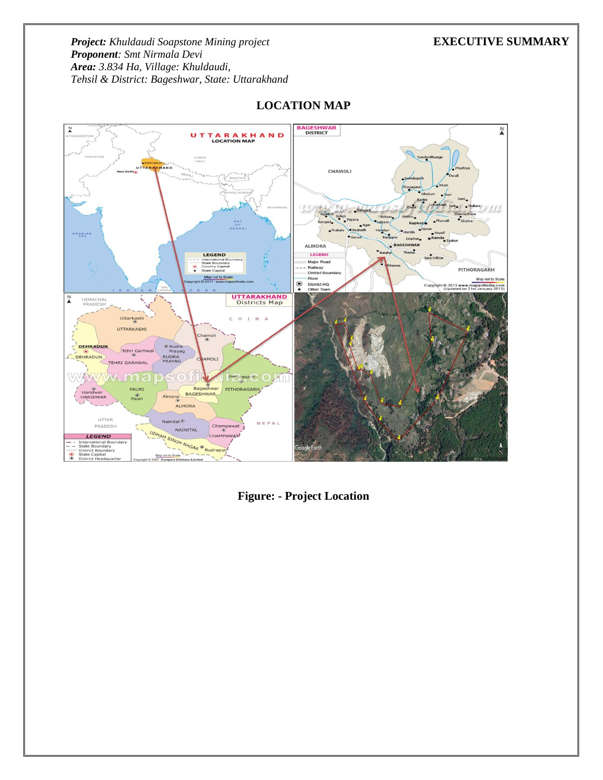

# **LOCATION MAP**

**Figure: - Project Location**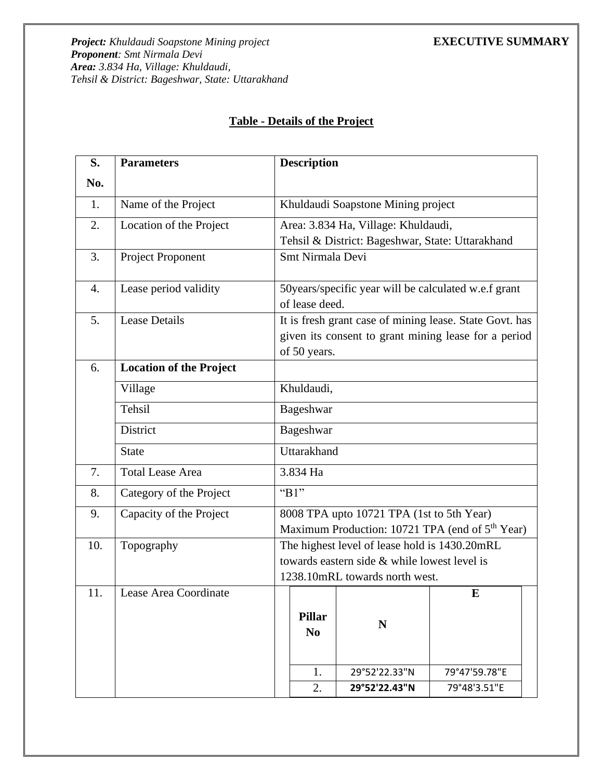# **Table - Details of the Project**

| S.  | <b>Parameters</b>              |                                | <b>Description</b>                                                                                                              |                                                                                         |                                                             |  |
|-----|--------------------------------|--------------------------------|---------------------------------------------------------------------------------------------------------------------------------|-----------------------------------------------------------------------------------------|-------------------------------------------------------------|--|
| No. |                                |                                |                                                                                                                                 |                                                                                         |                                                             |  |
| 1.  | Name of the Project            |                                | Khuldaudi Soapstone Mining project                                                                                              |                                                                                         |                                                             |  |
| 2.  | Location of the Project        |                                |                                                                                                                                 | Area: 3.834 Ha, Village: Khuldaudi,<br>Tehsil & District: Bageshwar, State: Uttarakhand |                                                             |  |
| 3.  | Project Proponent              |                                | Smt Nirmala Devi                                                                                                                |                                                                                         |                                                             |  |
| 4.  | Lease period validity          |                                | of lease deed.                                                                                                                  | 50 years/specific year will be calculated w.e.f grant                                   |                                                             |  |
| 5.  | <b>Lease Details</b>           |                                | It is fresh grant case of mining lease. State Govt. has<br>given its consent to grant mining lease for a period<br>of 50 years. |                                                                                         |                                                             |  |
| 6.  | <b>Location of the Project</b> |                                |                                                                                                                                 |                                                                                         |                                                             |  |
|     | Village                        |                                | Khuldaudi,                                                                                                                      |                                                                                         |                                                             |  |
|     | Tehsil                         |                                | Bageshwar                                                                                                                       |                                                                                         |                                                             |  |
|     | District                       |                                | Bageshwar                                                                                                                       |                                                                                         |                                                             |  |
|     | <b>State</b>                   |                                | Uttarakhand                                                                                                                     |                                                                                         |                                                             |  |
| 7.  | <b>Total Lease Area</b>        |                                | 3.834 Ha                                                                                                                        |                                                                                         |                                                             |  |
| 8.  | Category of the Project        |                                | "B1"                                                                                                                            |                                                                                         |                                                             |  |
| 9.  | Capacity of the Project        |                                |                                                                                                                                 | 8008 TPA upto 10721 TPA (1st to 5th Year)                                               |                                                             |  |
|     |                                |                                |                                                                                                                                 |                                                                                         | Maximum Production: 10721 TPA (end of 5 <sup>th</sup> Year) |  |
| 10. | Topography                     |                                |                                                                                                                                 | The highest level of lease hold is 1430.20mRL                                           |                                                             |  |
|     |                                |                                |                                                                                                                                 | towards eastern side & while lowest level is                                            |                                                             |  |
|     |                                | 1238.10mRL towards north west. |                                                                                                                                 |                                                                                         |                                                             |  |
| 11. | Lease Area Coordinate          |                                | <b>Pillar</b><br>N <sub>0</sub>                                                                                                 | N                                                                                       | E                                                           |  |
|     |                                |                                | 1.                                                                                                                              | 29°52'22.33"N                                                                           | 79°47'59.78"E                                               |  |
|     |                                |                                | 2.                                                                                                                              | 29°52'22.43"N                                                                           | 79°48'3.51"E                                                |  |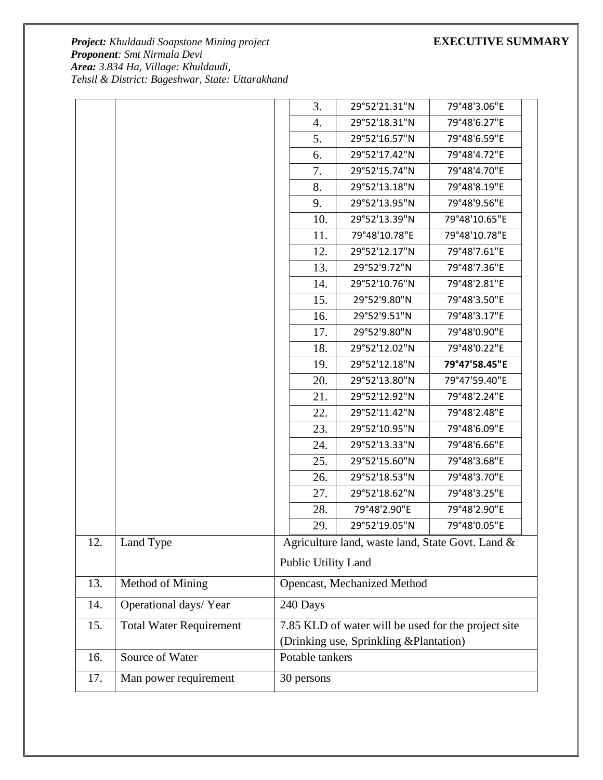|     |                                | 3.                                      | 29°52'21.31"N                                       | 79°48'3.06"E  |  |  |
|-----|--------------------------------|-----------------------------------------|-----------------------------------------------------|---------------|--|--|
|     |                                | 4.                                      | 29°52'18.31"N                                       | 79°48'6.27"E  |  |  |
|     |                                | 5.                                      | 29°52'16.57"N                                       | 79°48'6.59"E  |  |  |
|     |                                | 6.                                      | 29°52'17.42"N                                       | 79°48'4.72"E  |  |  |
|     |                                | 7.                                      | 29°52'15.74"N                                       | 79°48'4.70"E  |  |  |
|     |                                | 8.                                      | 29°52'13.18"N                                       | 79°48'8.19"E  |  |  |
|     |                                | 9.                                      | 29°52'13.95"N                                       | 79°48'9.56"E  |  |  |
|     |                                | 10.                                     | 29°52'13.39"N                                       | 79°48'10.65"E |  |  |
|     |                                | 11.                                     | 79°48'10.78"E                                       | 79°48'10.78"E |  |  |
|     |                                | 12.                                     | 29°52'12.17"N                                       | 79°48'7.61"E  |  |  |
|     |                                | 13.                                     | 29°52'9.72"N                                        | 79°48'7.36"E  |  |  |
|     |                                | 14.                                     | 29°52'10.76"N                                       | 79°48'2.81"E  |  |  |
|     |                                | 15.                                     | 29°52'9.80"N                                        | 79°48'3.50"E  |  |  |
|     |                                | 16.                                     | 29°52'9.51"N                                        | 79°48'3.17"E  |  |  |
|     |                                | 17.                                     | 29°52'9.80"N                                        | 79°48'0.90"E  |  |  |
|     |                                | 18.                                     | 29°52'12.02"N                                       | 79°48'0.22"E  |  |  |
|     |                                | 19.                                     | 29°52'12.18"N                                       | 79°47'58.45"E |  |  |
|     |                                | 20.                                     | 29°52'13.80"N                                       | 79°47'59.40"E |  |  |
|     |                                | 21.                                     | 29°52'12.92"N                                       | 79°48'2.24"E  |  |  |
|     |                                | 22.                                     | 29°52'11.42"N                                       | 79°48'2.48"E  |  |  |
|     |                                | 23.                                     | 29°52'10.95"N                                       | 79°48'6.09"E  |  |  |
|     |                                | 24.                                     | 29°52'13.33"N                                       | 79°48'6.66"E  |  |  |
|     |                                | 25.                                     | 29°52'15.60"N                                       | 79°48'3.68"E  |  |  |
|     |                                | 26.                                     | 29°52'18.53"N                                       | 79°48'3.70"E  |  |  |
|     |                                | 27.                                     | 29°52'18.62"N                                       | 79°48'3.25"E  |  |  |
|     |                                | 28.                                     | 79°48'2.90"E                                        | 79°48'2.90"E  |  |  |
|     |                                | 29.                                     | 29°52'19.05"N                                       | 79°48'0.05"E  |  |  |
| 12. | Land Type                      |                                         | Agriculture land, waste land, State Govt. Land &    |               |  |  |
|     |                                | Public Utility Land                     |                                                     |               |  |  |
| 13. | Method of Mining               |                                         | Opencast, Mechanized Method                         |               |  |  |
| 14. | Operational days/Year          | 240 Days                                |                                                     |               |  |  |
| 15. | <b>Total Water Requirement</b> |                                         | 7.85 KLD of water will be used for the project site |               |  |  |
|     |                                | (Drinking use, Sprinkling & Plantation) |                                                     |               |  |  |
| 16. | Source of Water                | Potable tankers                         |                                                     |               |  |  |
| 17. | Man power requirement          | 30 persons                              |                                                     |               |  |  |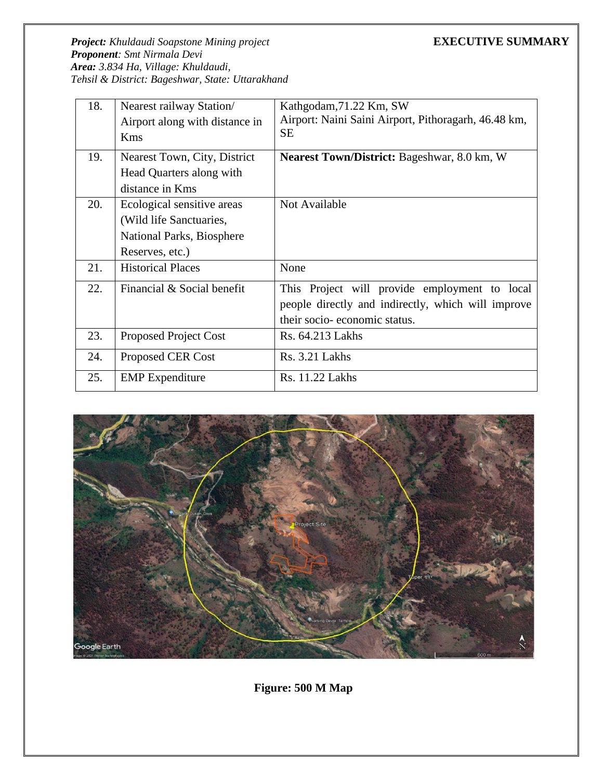| 18. | Nearest railway Station/       | Kathgodam, 71.22 Km, SW                              |
|-----|--------------------------------|------------------------------------------------------|
|     | Airport along with distance in | Airport: Naini Saini Airport, Pithoragarh, 46.48 km, |
|     | Kms                            | <b>SE</b>                                            |
| 19. | Nearest Town, City, District   | <b>Nearest Town/District:</b> Bageshwar, 8.0 km, W   |
|     | Head Quarters along with       |                                                      |
|     | distance in Kms                |                                                      |
| 20. | Ecological sensitive areas     | Not Available                                        |
|     | (Wild life Sanctuaries,        |                                                      |
|     | National Parks, Biosphere      |                                                      |
|     | Reserves, etc.)                |                                                      |
| 21. | <b>Historical Places</b>       | None                                                 |
| 22. | Financial & Social benefit     | This Project will provide employment to local        |
|     |                                | people directly and indirectly, which will improve   |
|     |                                | their socio-economic status.                         |
| 23. | <b>Proposed Project Cost</b>   | Rs. 64.213 Lakhs                                     |
| 24. | Proposed CER Cost              | Rs. 3.21 Lakhs                                       |
| 25. | <b>EMP</b> Expenditure         | Rs. 11.22 Lakhs                                      |



**Figure: 500 M Map**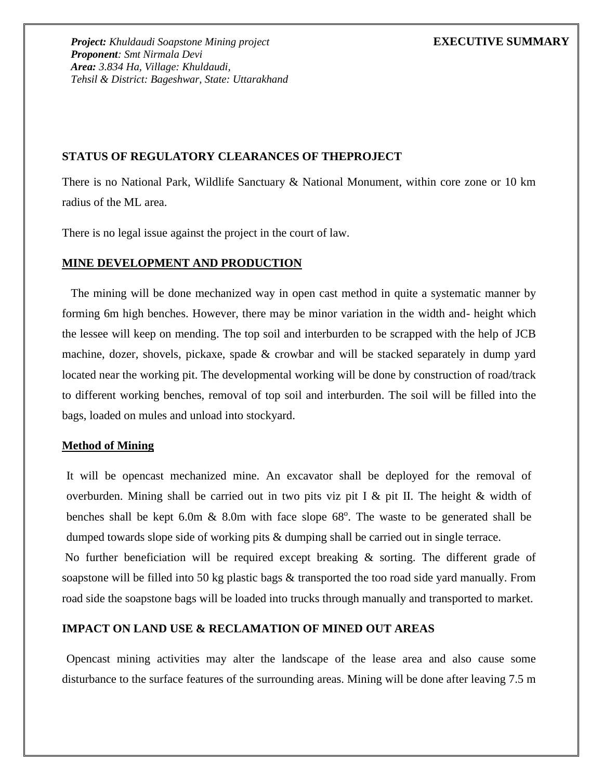# **STATUS OF REGULATORY CLEARANCES OF THEPROJECT**

There is no National Park, Wildlife Sanctuary & National Monument, within core zone or 10 km radius of the ML area.

There is no legal issue against the project in the court of law.

# **MINE DEVELOPMENT AND PRODUCTION**

The mining will be done mechanized way in open cast method in quite a systematic manner by forming 6m high benches. However, there may be minor variation in the width and- height which the lessee will keep on mending. The top soil and interburden to be scrapped with the help of JCB machine, dozer, shovels, pickaxe, spade & crowbar and will be stacked separately in dump yard located near the working pit. The developmental working will be done by construction of road/track to different working benches, removal of top soil and interburden. The soil will be filled into the bags, loaded on mules and unload into stockyard.

# **Method of Mining**

It will be opencast mechanized mine. An excavator shall be deployed for the removal of overburden. Mining shall be carried out in two pits viz pit I & pit II. The height  $\&$  width of benches shall be kept  $6.0m \& 8.0m$  with face slope  $68^\circ$ . The waste to be generated shall be dumped towards slope side of working pits  $\&$  dumping shall be carried out in single terrace.

No further beneficiation will be required except breaking & sorting. The different grade of soapstone will be filled into 50 kg plastic bags & transported the too road side yard manually. From road side the soapstone bags will be loaded into trucks through manually and transported to market.

# **IMPACT ON LAND USE & RECLAMATION OF MINED OUT AREAS**

Opencast mining activities may alter the landscape of the lease area and also cause some disturbance to the surface features of the surrounding areas. Mining will be done after leaving 7.5 m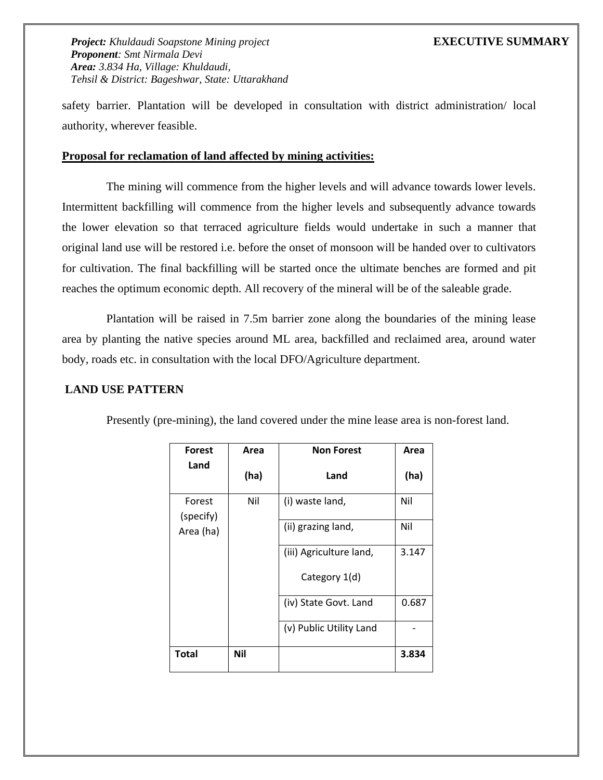safety barrier. Plantation will be developed in consultation with district administration/ local authority, wherever feasible.

### **Proposal for reclamation of land affected by mining activities:**

The mining will commence from the higher levels and will advance towards lower levels. Intermittent backfilling will commence from the higher levels and subsequently advance towards the lower elevation so that terraced agriculture fields would undertake in such a manner that original land use will be restored i.e. before the onset of monsoon will be handed over to cultivators for cultivation. The final backfilling will be started once the ultimate benches are formed and pit reaches the optimum economic depth. All recovery of the mineral will be of the saleable grade.

Plantation will be raised in 7.5m barrier zone along the boundaries of the mining lease area by planting the native species around ML area, backfilled and reclaimed area, around water body, roads etc. in consultation with the local DFO/Agriculture department.

## **LAND USE PATTERN**

| <b>Forest</b>       | Area | <b>Non Forest</b>       | Area  |
|---------------------|------|-------------------------|-------|
| Land                | (ha) | Land                    | (ha)  |
| Forest<br>(specify) | Nil  | (i) waste land,         | Nil   |
| Area (ha)           |      | (ii) grazing land,      | Nil   |
|                     |      | (iii) Agriculture land, | 3.147 |
|                     |      | Category 1(d)           |       |
|                     |      | (iv) State Govt. Land   | 0.687 |
|                     |      | (v) Public Utility Land |       |
| Total               | Nil  |                         | 3.834 |

Presently (pre-mining), the land covered under the mine lease area is non-forest land.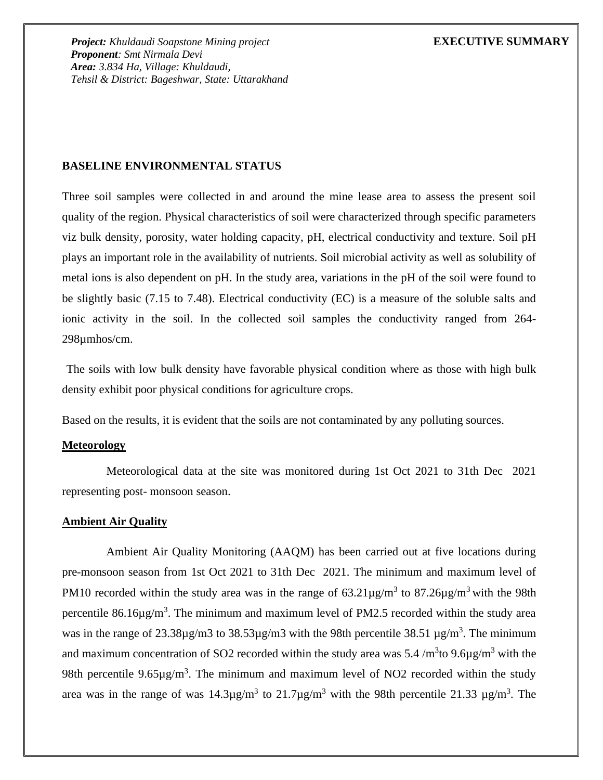## **BASELINE ENVIRONMENTAL STATUS**

Three soil samples were collected in and around the mine lease area to assess the present soil quality of the region. Physical characteristics of soil were characterized through specific parameters viz bulk density, porosity, water holding capacity, pH, electrical conductivity and texture. Soil pH plays an important role in the availability of nutrients. Soil microbial activity as well as solubility of metal ions is also dependent on pH. In the study area, variations in the pH of the soil were found to be slightly basic (7.15 to 7.48). Electrical conductivity (EC) is a measure of the soluble salts and ionic activity in the soil. In the collected soil samples the conductivity ranged from 264- 298µmhos/cm.

The soils with low bulk density have favorable physical condition where as those with high bulk density exhibit poor physical conditions for agriculture crops.

Based on the results, it is evident that the soils are not contaminated by any polluting sources.

### **Meteorology**

Meteorological data at the site was monitored during 1st Oct 2021 to 31th Dec 2021 representing post- monsoon season.

### **Ambient Air Quality**

Ambient Air Quality Monitoring (AAQM) has been carried out at five locations during pre-monsoon season from 1st Oct 2021 to 31th Dec 2021. The minimum and maximum level of PM10 recorded within the study area was in the range of  $63.21\mu\text{g/m}^3$  to  $87.26\mu\text{g/m}^3$  with the 98th percentile  $86.16\mu\text{g/m}^3$ . The minimum and maximum level of PM2.5 recorded within the study area was in the range of  $23.38\mu$ g/m3 to  $38.53\mu$ g/m3 with the 98th percentile  $38.51 \mu$ g/m<sup>3</sup>. The minimum and maximum concentration of SO2 recorded within the study area was 5.4  $/m<sup>3</sup>$ to 9.6 $\mu$ g/m<sup>3</sup> with the 98th percentile  $9.65\mu g/m^3$ . The minimum and maximum level of NO2 recorded within the study area was in the range of was  $14.3\mu$ g/m<sup>3</sup> to  $21.7\mu$ g/m<sup>3</sup> with the 98th percentile  $21.33 \mu$ g/m<sup>3</sup>. The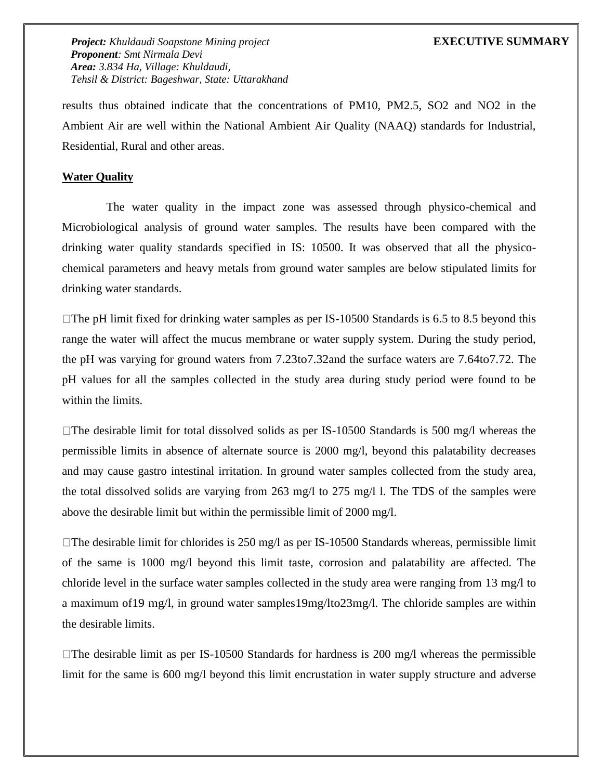results thus obtained indicate that the concentrations of PM10, PM2.5, SO2 and NO2 in the Ambient Air are well within the National Ambient Air Quality (NAAQ) standards for Industrial, Residential, Rural and other areas.

## **Water Quality**

The water quality in the impact zone was assessed through physico-chemical and Microbiological analysis of ground water samples. The results have been compared with the drinking water quality standards specified in IS: 10500. It was observed that all the physicochemical parameters and heavy metals from ground water samples are below stipulated limits for drinking water standards.

 $\Box$ The pH limit fixed for drinking water samples as per IS-10500 Standards is 6.5 to 8.5 beyond this range the water will affect the mucus membrane or water supply system. During the study period, the pH was varying for ground waters from 7.23to7.32and the surface waters are 7.64to7.72. The pH values for all the samples collected in the study area during study period were found to be within the limits.

 $\Box$ The desirable limit for total dissolved solids as per IS-10500 Standards is 500 mg/l whereas the permissible limits in absence of alternate source is 2000 mg/l, beyond this palatability decreases and may cause gastro intestinal irritation. In ground water samples collected from the study area, the total dissolved solids are varying from 263 mg/l to 275 mg/l l. The TDS of the samples were above the desirable limit but within the permissible limit of 2000 mg/l.

 $\Box$  The desirable limit for chlorides is 250 mg/l as per IS-10500 Standards whereas, permissible limit of the same is 1000 mg/l beyond this limit taste, corrosion and palatability are affected. The chloride level in the surface water samples collected in the study area were ranging from 13 mg/l to a maximum of19 mg/l, in ground water samples19mg/lto23mg/l. The chloride samples are within the desirable limits.

 $\Box$ The desirable limit as per IS-10500 Standards for hardness is 200 mg/l whereas the permissible limit for the same is 600 mg/l beyond this limit encrustation in water supply structure and adverse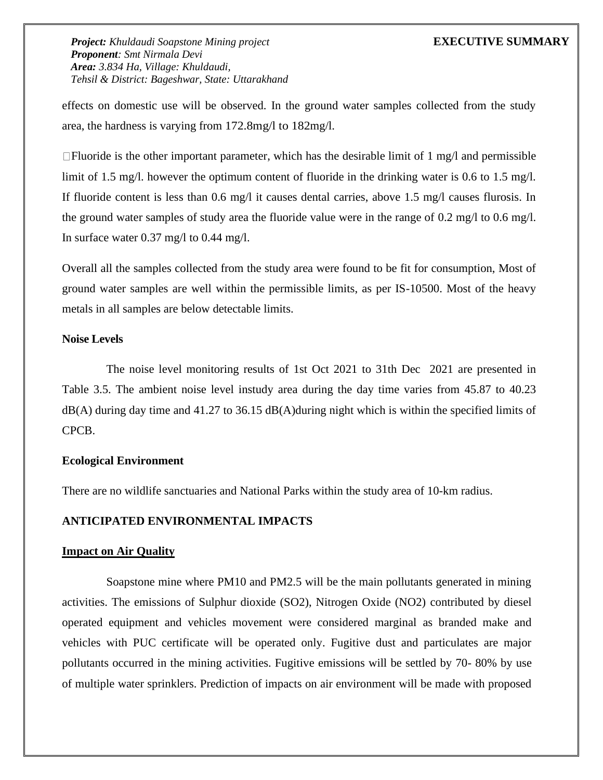effects on domestic use will be observed. In the ground water samples collected from the study area, the hardness is varying from 172.8mg/l to 182mg/l.

 $\Box$  Fluoride is the other important parameter, which has the desirable limit of 1 mg/l and permissible limit of 1.5 mg/l. however the optimum content of fluoride in the drinking water is 0.6 to 1.5 mg/l. If fluoride content is less than 0.6 mg/l it causes dental carries, above 1.5 mg/l causes flurosis. In the ground water samples of study area the fluoride value were in the range of 0.2 mg/l to 0.6 mg/l. In surface water 0.37 mg/l to 0.44 mg/l.

Overall all the samples collected from the study area were found to be fit for consumption, Most of ground water samples are well within the permissible limits, as per IS-10500. Most of the heavy metals in all samples are below detectable limits.

### **Noise Levels**

The noise level monitoring results of 1st Oct 2021 to 31th Dec 2021 are presented in Table 3.5. The ambient noise level instudy area during the day time varies from 45.87 to 40.23  $dB(A)$  during day time and 41.27 to 36.15  $dB(A)$  during night which is within the specified limits of CPCB.

# **Ecological Environment**

There are no wildlife sanctuaries and National Parks within the study area of 10-km radius.

# **ANTICIPATED ENVIRONMENTAL IMPACTS**

### **Impact on Air Quality**

Soapstone mine where PM10 and PM2.5 will be the main pollutants generated in mining activities. The emissions of Sulphur dioxide (SO2), Nitrogen Oxide (NO2) contributed by diesel operated equipment and vehicles movement were considered marginal as branded make and vehicles with PUC certificate will be operated only. Fugitive dust and particulates are major pollutants occurred in the mining activities. Fugitive emissions will be settled by 70- 80% by use of multiple water sprinklers. Prediction of impacts on air environment will be made with proposed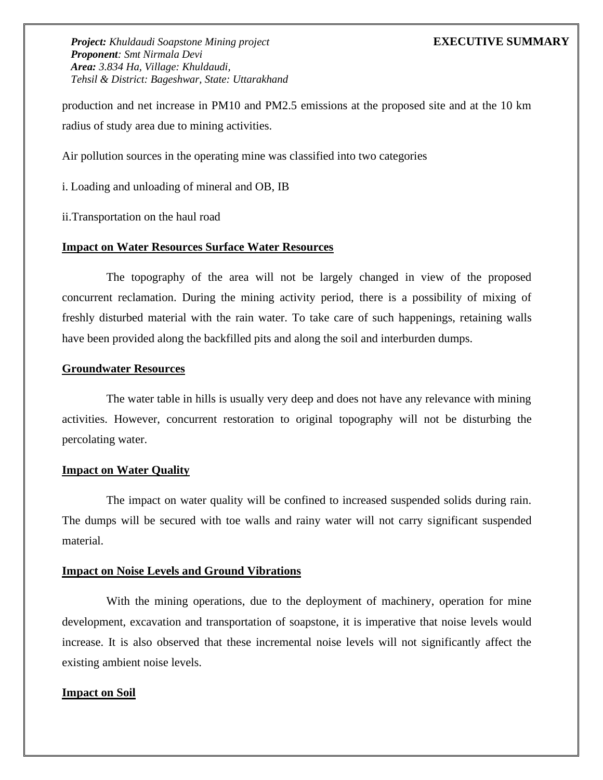production and net increase in PM10 and PM2.5 emissions at the proposed site and at the 10 km radius of study area due to mining activities.

Air pollution sources in the operating mine was classified into two categories

i. Loading and unloading of mineral and OB, IB

ii.Transportation on the haul road

### **Impact on Water Resources Surface Water Resources**

The topography of the area will not be largely changed in view of the proposed concurrent reclamation. During the mining activity period, there is a possibility of mixing of freshly disturbed material with the rain water. To take care of such happenings, retaining walls have been provided along the backfilled pits and along the soil and interburden dumps.

### **Groundwater Resources**

The water table in hills is usually very deep and does not have any relevance with mining activities. However, concurrent restoration to original topography will not be disturbing the percolating water.

### **Impact on Water Quality**

The impact on water quality will be confined to increased suspended solids during rain. The dumps will be secured with toe walls and rainy water will not carry significant suspended material.

### **Impact on Noise Levels and Ground Vibrations**

With the mining operations, due to the deployment of machinery, operation for mine development, excavation and transportation of soapstone, it is imperative that noise levels would increase. It is also observed that these incremental noise levels will not significantly affect the existing ambient noise levels.

### **Impact on Soil**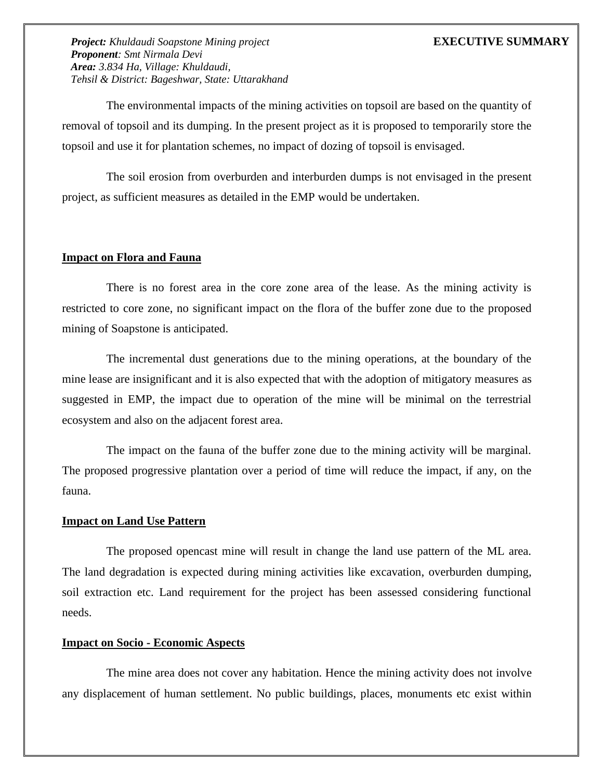The environmental impacts of the mining activities on topsoil are based on the quantity of removal of topsoil and its dumping. In the present project as it is proposed to temporarily store the topsoil and use it for plantation schemes, no impact of dozing of topsoil is envisaged.

The soil erosion from overburden and interburden dumps is not envisaged in the present project, as sufficient measures as detailed in the EMP would be undertaken.

### **Impact on Flora and Fauna**

There is no forest area in the core zone area of the lease. As the mining activity is restricted to core zone, no significant impact on the flora of the buffer zone due to the proposed mining of Soapstone is anticipated.

The incremental dust generations due to the mining operations, at the boundary of the mine lease are insignificant and it is also expected that with the adoption of mitigatory measures as suggested in EMP, the impact due to operation of the mine will be minimal on the terrestrial ecosystem and also on the adjacent forest area.

The impact on the fauna of the buffer zone due to the mining activity will be marginal. The proposed progressive plantation over a period of time will reduce the impact, if any, on the fauna.

### **Impact on Land Use Pattern**

The proposed opencast mine will result in change the land use pattern of the ML area. The land degradation is expected during mining activities like excavation, overburden dumping, soil extraction etc. Land requirement for the project has been assessed considering functional needs.

### **Impact on Socio - Economic Aspects**

The mine area does not cover any habitation. Hence the mining activity does not involve any displacement of human settlement. No public buildings, places, monuments etc exist within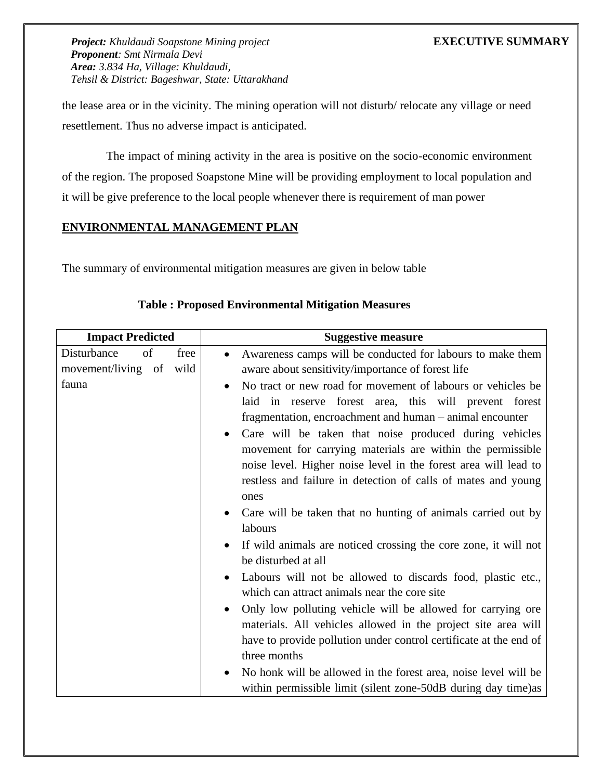the lease area or in the vicinity. The mining operation will not disturb/ relocate any village or need resettlement. Thus no adverse impact is anticipated.

The impact of mining activity in the area is positive on the socio-economic environment of the region. The proposed Soapstone Mine will be providing employment to local population and it will be give preference to the local people whenever there is requirement of man power

# **ENVIRONMENTAL MANAGEMENT PLAN**

The summary of environmental mitigation measures are given in below table

| <b>Impact Predicted</b>   | <b>Suggestive measure</b>                                                                                                                                                                                                                                                                                                                                                                                                                                                                                                                                                                                                                                                                                                                                          |
|---------------------------|--------------------------------------------------------------------------------------------------------------------------------------------------------------------------------------------------------------------------------------------------------------------------------------------------------------------------------------------------------------------------------------------------------------------------------------------------------------------------------------------------------------------------------------------------------------------------------------------------------------------------------------------------------------------------------------------------------------------------------------------------------------------|
| Disturbance<br>free<br>of | Awareness camps will be conducted for labours to make them                                                                                                                                                                                                                                                                                                                                                                                                                                                                                                                                                                                                                                                                                                         |
| movement/living of wild   | aware about sensitivity/importance of forest life                                                                                                                                                                                                                                                                                                                                                                                                                                                                                                                                                                                                                                                                                                                  |
| fauna                     | No tract or new road for movement of labours or vehicles be<br>$\bullet$<br>laid in reserve forest area, this will prevent forest<br>fragmentation, encroachment and human – animal encounter<br>Care will be taken that noise produced during vehicles<br>movement for carrying materials are within the permissible<br>noise level. Higher noise level in the forest area will lead to<br>restless and failure in detection of calls of mates and young<br>ones<br>Care will be taken that no hunting of animals carried out by<br>labours<br>If wild animals are noticed crossing the core zone, it will not<br>$\bullet$<br>be disturbed at all<br>Labours will not be allowed to discards food, plastic etc.,<br>which can attract animals near the core site |
|                           | Only low polluting vehicle will be allowed for carrying ore<br>materials. All vehicles allowed in the project site area will<br>have to provide pollution under control certificate at the end of<br>three months                                                                                                                                                                                                                                                                                                                                                                                                                                                                                                                                                  |
|                           |                                                                                                                                                                                                                                                                                                                                                                                                                                                                                                                                                                                                                                                                                                                                                                    |
|                           | No honk will be allowed in the forest area, noise level will be<br>within permissible limit (silent zone-50dB during day time) as                                                                                                                                                                                                                                                                                                                                                                                                                                                                                                                                                                                                                                  |

# **Table : Proposed Environmental Mitigation Measures**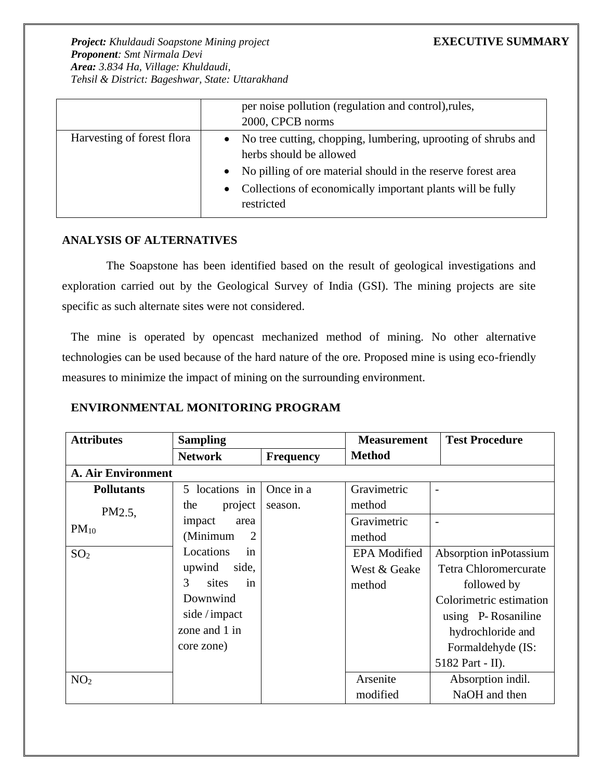|                            | per noise pollution (regulation and control), rules,<br>2000, CPCB norms                                                                                                                                                                                       |
|----------------------------|----------------------------------------------------------------------------------------------------------------------------------------------------------------------------------------------------------------------------------------------------------------|
| Harvesting of forest flora | No tree cutting, chopping, lumbering, uprooting of shrubs and<br>$\bullet$<br>herbs should be allowed<br>No pilling of ore material should in the reserve forest area<br>$\bullet$<br>Collections of economically important plants will be fully<br>restricted |

# **ANALYSIS OF ALTERNATIVES**

The Soapstone has been identified based on the result of geological investigations and exploration carried out by the Geological Survey of India (GSI). The mining projects are site specific as such alternate sites were not considered.

The mine is operated by opencast mechanized method of mining. No other alternative technologies can be used because of the hard nature of the ore. Proposed mine is using eco-friendly measures to minimize the impact of mining on the surrounding environment.

# **ENVIRONMENTAL MONITORING PROGRAM**

| <b>Attributes</b>         | <b>Sampling</b>  |                  | <b>Measurement</b>  | <b>Test Procedure</b>    |  |  |
|---------------------------|------------------|------------------|---------------------|--------------------------|--|--|
|                           | <b>Network</b>   | <b>Frequency</b> | <b>Method</b>       |                          |  |  |
| <b>A. Air Environment</b> |                  |                  |                     |                          |  |  |
| <b>Pollutants</b>         | 5 locations in   | Once in a        | Gravimetric         | $\overline{\phantom{a}}$ |  |  |
| PM2.5                     | project<br>the   | season.          | method              |                          |  |  |
| $PM_{10}$                 | impact<br>area   |                  | Gravimetric         | ۰                        |  |  |
|                           | (Minimum<br>2    |                  | method              |                          |  |  |
| SO <sub>2</sub>           | Locations<br>in  |                  | <b>EPA</b> Modified | Absorption inPotassium   |  |  |
|                           | upwind<br>side,  |                  | West & Geake        | Tetra Chloromercurate    |  |  |
|                           | 3<br>sites<br>in |                  | method              | followed by              |  |  |
|                           | Downwind         |                  |                     | Colorimetric estimation  |  |  |
|                           | side / impact    |                  |                     | using P-Rosaniline       |  |  |
|                           | zone and 1 in    |                  |                     | hydrochloride and        |  |  |
|                           | core zone)       |                  |                     | Formaldehyde (IS:        |  |  |
|                           |                  |                  |                     | 5182 Part - II).         |  |  |
| NO <sub>2</sub>           |                  |                  | Arsenite            | Absorption indil.        |  |  |
|                           |                  |                  | modified            | NaOH and then            |  |  |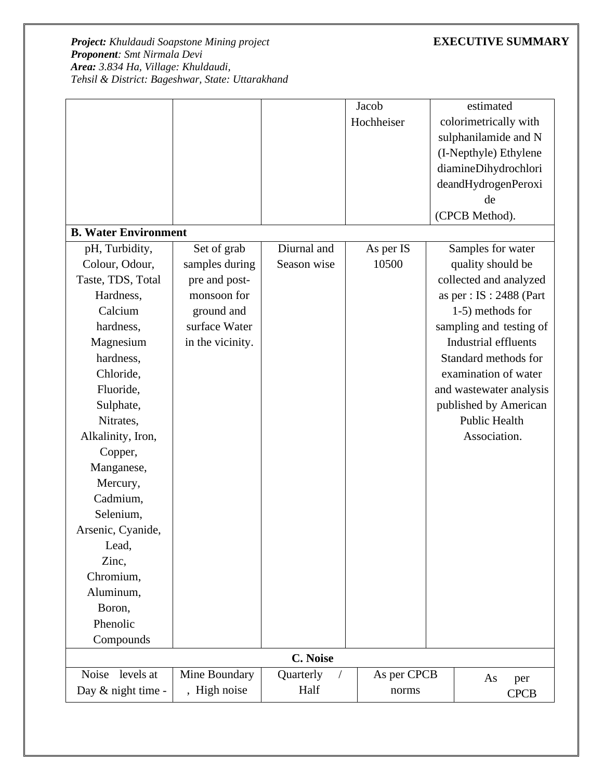|                             |                  |             | Jacob       |  | estimated                   |  |  |
|-----------------------------|------------------|-------------|-------------|--|-----------------------------|--|--|
|                             |                  |             | Hochheiser  |  | colorimetrically with       |  |  |
|                             |                  |             |             |  | sulphanilamide and N        |  |  |
|                             |                  |             |             |  | (I-Nepthyle) Ethylene       |  |  |
|                             |                  |             |             |  | diamineDihydrochlori        |  |  |
|                             |                  |             |             |  | deandHydrogenPeroxi         |  |  |
|                             |                  |             |             |  | de                          |  |  |
|                             |                  |             |             |  | (CPCB Method).              |  |  |
| <b>B. Water Environment</b> |                  |             |             |  |                             |  |  |
| pH, Turbidity,              | Set of grab      | Diurnal and | As per IS   |  | Samples for water           |  |  |
| Colour, Odour,              | samples during   | Season wise | 10500       |  | quality should be           |  |  |
| Taste, TDS, Total           | pre and post-    |             |             |  | collected and analyzed      |  |  |
| Hardness,                   | monsoon for      |             |             |  | as per : $IS : 2488$ (Part  |  |  |
| Calcium                     | ground and       |             |             |  | 1-5) methods for            |  |  |
| hardness,                   | surface Water    |             |             |  | sampling and testing of     |  |  |
| Magnesium                   | in the vicinity. |             |             |  | <b>Industrial effluents</b> |  |  |
| hardness,                   |                  |             |             |  | Standard methods for        |  |  |
| Chloride,                   |                  |             |             |  | examination of water        |  |  |
| Fluoride,                   |                  |             |             |  | and wastewater analysis     |  |  |
| Sulphate,                   |                  |             |             |  | published by American       |  |  |
| Nitrates,                   |                  |             |             |  | Public Health               |  |  |
| Alkalinity, Iron,           |                  |             |             |  | Association.                |  |  |
| Copper,                     |                  |             |             |  |                             |  |  |
| Manganese,                  |                  |             |             |  |                             |  |  |
| Mercury,                    |                  |             |             |  |                             |  |  |
| Cadmium,                    |                  |             |             |  |                             |  |  |
| Selenium,                   |                  |             |             |  |                             |  |  |
| Arsenic, Cyanide,           |                  |             |             |  |                             |  |  |
| Lead,                       |                  |             |             |  |                             |  |  |
| Zinc,                       |                  |             |             |  |                             |  |  |
| Chromium,                   |                  |             |             |  |                             |  |  |
| Aluminum,                   |                  |             |             |  |                             |  |  |
| Boron,                      |                  |             |             |  |                             |  |  |
| Phenolic                    |                  |             |             |  |                             |  |  |
| Compounds                   |                  |             |             |  |                             |  |  |
|                             | <b>C. Noise</b>  |             |             |  |                             |  |  |
| Noise<br>levels at          | Mine Boundary    | Quarterly   | As per CPCB |  | As<br>per                   |  |  |
| Day & night time -          | , High noise     | Half        | norms       |  | <b>CPCB</b>                 |  |  |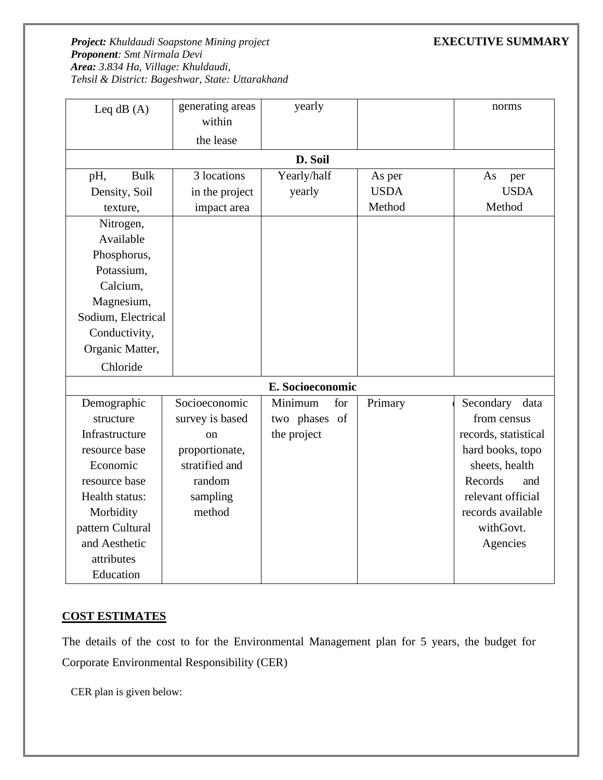| Leq $dB(A)$        | generating areas<br>within | yearly           |             | norms                |
|--------------------|----------------------------|------------------|-------------|----------------------|
|                    | the lease                  |                  |             |                      |
|                    |                            | D. Soil          |             |                      |
| <b>Bulk</b><br>pH, | 3 locations                | Yearly/half      | As per      | As<br>per            |
| Density, Soil      | in the project             | yearly           | <b>USDA</b> | <b>USDA</b>          |
| texture,           | impact area                |                  | Method      | Method               |
| Nitrogen,          |                            |                  |             |                      |
| Available          |                            |                  |             |                      |
| Phosphorus,        |                            |                  |             |                      |
| Potassium,         |                            |                  |             |                      |
| Calcium,           |                            |                  |             |                      |
| Magnesium,         |                            |                  |             |                      |
| Sodium, Electrical |                            |                  |             |                      |
| Conductivity,      |                            |                  |             |                      |
| Organic Matter,    |                            |                  |             |                      |
| Chloride           |                            |                  |             |                      |
|                    |                            | E. Socioeconomic |             |                      |
| Demographic        | Socioeconomic              | Minimum<br>for   | Primary     | Secondary data       |
| structure          | survey is based            | two phases of    |             | from census          |
| Infrastructure     | <sub>on</sub>              | the project      |             | records, statistical |
| resource base      | proportionate,             |                  |             | hard books, topo     |
| Economic           | stratified and             |                  |             | sheets, health       |
| resource base      | random                     |                  |             | Records<br>and       |
| Health status:     | sampling                   |                  |             | relevant official    |
| Morbidity          | method                     |                  |             | records available    |
| pattern Cultural   |                            |                  |             | withGovt.            |
| and Aesthetic      |                            |                  |             | Agencies             |
| attributes         |                            |                  |             |                      |
| Education          |                            |                  |             |                      |

# **COST ESTIMATES**

The details of the cost to for the Environmental Management plan for 5 years, the budget for Corporate Environmental Responsibility (CER)

CER plan is given below: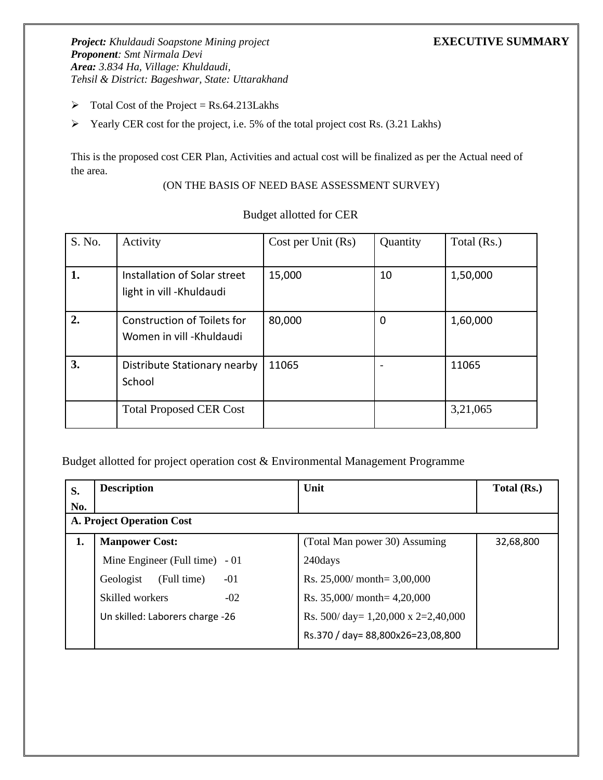- $\triangleright$  Total Cost of the Project = Rs.64.213Lakhs
- ➢ Yearly CER cost for the project, i.e. 5% of the total project cost Rs. (3.21 Lakhs)

This is the proposed cost CER Plan, Activities and actual cost will be finalized as per the Actual need of the area.

(ON THE BASIS OF NEED BASE ASSESSMENT SURVEY)

| S. No. | Activity                                                 | Cost per Unit (Rs) | Quantity | Total (Rs.) |
|--------|----------------------------------------------------------|--------------------|----------|-------------|
| 1.     | Installation of Solar street<br>light in vill -Khuldaudi | 15,000             | 10       | 1,50,000    |
| 2.     | Construction of Toilets for<br>Women in vill - Khuldaudi | 80,000             | 0        | 1,60,000    |
| 3.     | Distribute Stationary nearby<br>School                   | 11065              |          | 11065       |
|        | <b>Total Proposed CER Cost</b>                           |                    |          | 3,21,065    |

## Budget allotted for CER

Budget allotted for project operation cost & Environmental Management Programme

| S.  | <b>Description</b>                | Unit                                       | Total (Rs.) |
|-----|-----------------------------------|--------------------------------------------|-------------|
| No. |                                   |                                            |             |
|     | A. Project Operation Cost         |                                            |             |
| 1.  | <b>Manpower Cost:</b>             | (Total Man power 30) Assuming              | 32,68,800   |
|     | Mine Engineer (Full time) $-01$   | 240days                                    |             |
|     | (Full time)<br>$-01$<br>Geologist | Rs. $25,000/$ month= 3,00,000              |             |
|     | $-02$<br>Skilled workers          | Rs. $35,000/$ month= $4,20,000$            |             |
|     | Un skilled: Laborers charge -26   | Rs. 500/ day= $1,20,000 \times 2=2,40,000$ |             |
|     |                                   | Rs.370 / day= 88,800x26=23,08,800          |             |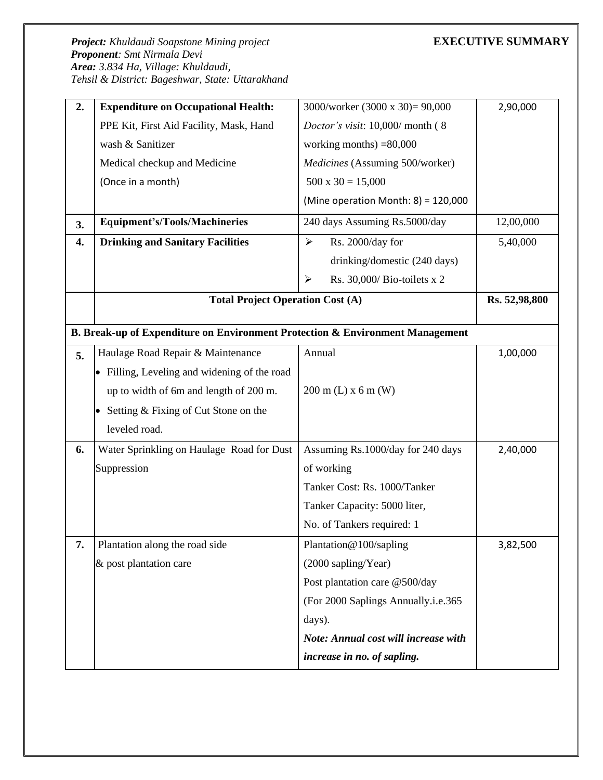| 2. | <b>Expenditure on Occupational Health:</b>                                    | 3000/worker (3000 x 30)= 90,000                      | 2,90,000  |  |  |  |  |  |  |  |
|----|-------------------------------------------------------------------------------|------------------------------------------------------|-----------|--|--|--|--|--|--|--|
|    | PPE Kit, First Aid Facility, Mask, Hand                                       | Doctor's visit: 10,000/ month (8                     |           |  |  |  |  |  |  |  |
|    | wash & Sanitizer                                                              | working months) $=80,000$                            |           |  |  |  |  |  |  |  |
|    | Medical checkup and Medicine                                                  | Medicines (Assuming 500/worker)                      |           |  |  |  |  |  |  |  |
|    | (Once in a month)                                                             | $500 \times 30 = 15,000$                             |           |  |  |  |  |  |  |  |
|    |                                                                               | (Mine operation Month: $8$ ) = 120,000               |           |  |  |  |  |  |  |  |
| 3. | <b>Equipment's/Tools/Machineries</b>                                          | 240 days Assuming Rs.5000/day                        | 12,00,000 |  |  |  |  |  |  |  |
| 4. | <b>Drinking and Sanitary Facilities</b>                                       | $\blacktriangleright$<br>Rs. 2000/day for            | 5,40,000  |  |  |  |  |  |  |  |
|    |                                                                               | drinking/domestic (240 days)                         |           |  |  |  |  |  |  |  |
|    |                                                                               | Rs. 30,000/ Bio-toilets x 2<br>$\blacktriangleright$ |           |  |  |  |  |  |  |  |
|    | <b>Total Project Operation Cost (A)</b>                                       | Rs. 52,98,800                                        |           |  |  |  |  |  |  |  |
|    |                                                                               |                                                      |           |  |  |  |  |  |  |  |
|    | B. Break-up of Expenditure on Environment Protection & Environment Management |                                                      |           |  |  |  |  |  |  |  |
| 5. | Haulage Road Repair & Maintenance                                             | Annual                                               | 1,00,000  |  |  |  |  |  |  |  |
|    | • Filling, Leveling and widening of the road                                  |                                                      |           |  |  |  |  |  |  |  |
|    | up to width of 6m and length of 200 m.                                        | $200 \text{ m}$ (L) x 6 m (W)                        |           |  |  |  |  |  |  |  |
|    | Setting & Fixing of Cut Stone on the                                          |                                                      |           |  |  |  |  |  |  |  |
|    | leveled road.                                                                 |                                                      |           |  |  |  |  |  |  |  |
| 6. | Water Sprinkling on Haulage Road for Dust                                     | Assuming Rs.1000/day for 240 days                    | 2,40,000  |  |  |  |  |  |  |  |
|    | Suppression                                                                   | of working                                           |           |  |  |  |  |  |  |  |
|    |                                                                               | Tanker Cost: Rs. 1000/Tanker                         |           |  |  |  |  |  |  |  |
|    |                                                                               | Tanker Capacity: 5000 liter,                         |           |  |  |  |  |  |  |  |
|    |                                                                               | No. of Tankers required: 1                           |           |  |  |  |  |  |  |  |
| 7. | Plantation along the road side                                                | Plantation@100/sapling                               | 3,82,500  |  |  |  |  |  |  |  |
|    | & post plantation care                                                        | (2000 sapling/Year)                                  |           |  |  |  |  |  |  |  |
|    |                                                                               | Post plantation care @500/day                        |           |  |  |  |  |  |  |  |
|    |                                                                               | (For 2000 Saplings Annually.i.e.365)                 |           |  |  |  |  |  |  |  |
|    |                                                                               | days).                                               |           |  |  |  |  |  |  |  |
|    |                                                                               | Note: Annual cost will increase with                 |           |  |  |  |  |  |  |  |
|    |                                                                               | increase in no. of sapling.                          |           |  |  |  |  |  |  |  |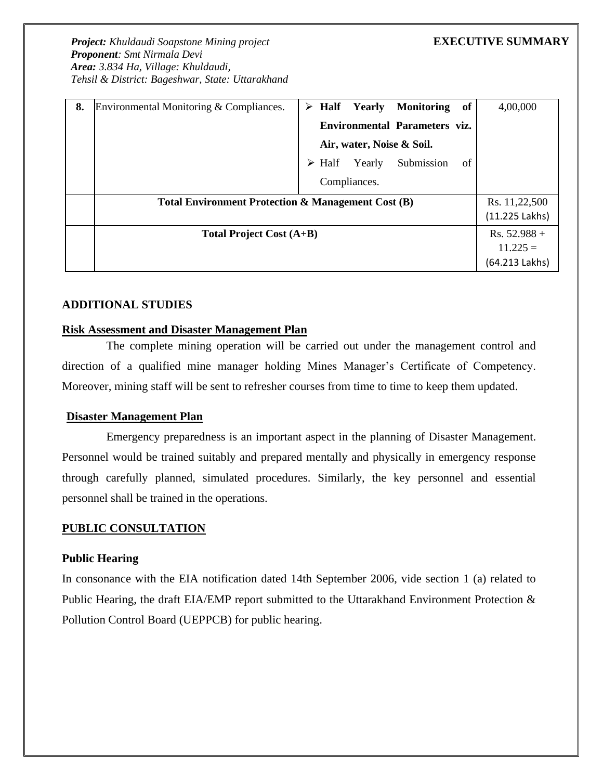| 8. | Environmental Monitoring & Compliances.            |                |      | $\triangleright$ Half Yearly | <b>Monitoring</b>             | of | 4,00,000       |
|----|----------------------------------------------------|----------------|------|------------------------------|-------------------------------|----|----------------|
|    |                                                    |                |      |                              | Environmental Parameters viz. |    |                |
|    |                                                    |                |      | Air, water, Noise & Soil.    |                               |    |                |
|    |                                                    | ➤              | Half | Yearly                       | Submission                    | of |                |
|    |                                                    |                |      | Compliances.                 |                               |    |                |
|    | Total Environment Protection & Management Cost (B) | Rs. 11,22,500  |      |                              |                               |    |                |
|    |                                                    | (11.225 Lakhs) |      |                              |                               |    |                |
|    | <b>Total Project Cost (A+B)</b>                    |                |      |                              |                               |    | $Rs. 52.988 +$ |
|    |                                                    |                |      |                              |                               |    | $11.225 =$     |
|    |                                                    |                |      |                              |                               |    | (64.213 Lakhs) |

## **ADDITIONAL STUDIES**

## **Risk Assessment and Disaster Management Plan**

The complete mining operation will be carried out under the management control and direction of a qualified mine manager holding Mines Manager's Certificate of Competency. Moreover, mining staff will be sent to refresher courses from time to time to keep them updated.

### **Disaster Management Plan**

Emergency preparedness is an important aspect in the planning of Disaster Management. Personnel would be trained suitably and prepared mentally and physically in emergency response through carefully planned, simulated procedures. Similarly, the key personnel and essential personnel shall be trained in the operations.

### **PUBLIC CONSULTATION**

### **Public Hearing**

In consonance with the EIA notification dated 14th September 2006, vide section 1 (a) related to Public Hearing, the draft EIA/EMP report submitted to the Uttarakhand Environment Protection & Pollution Control Board (UEPPCB) for public hearing.